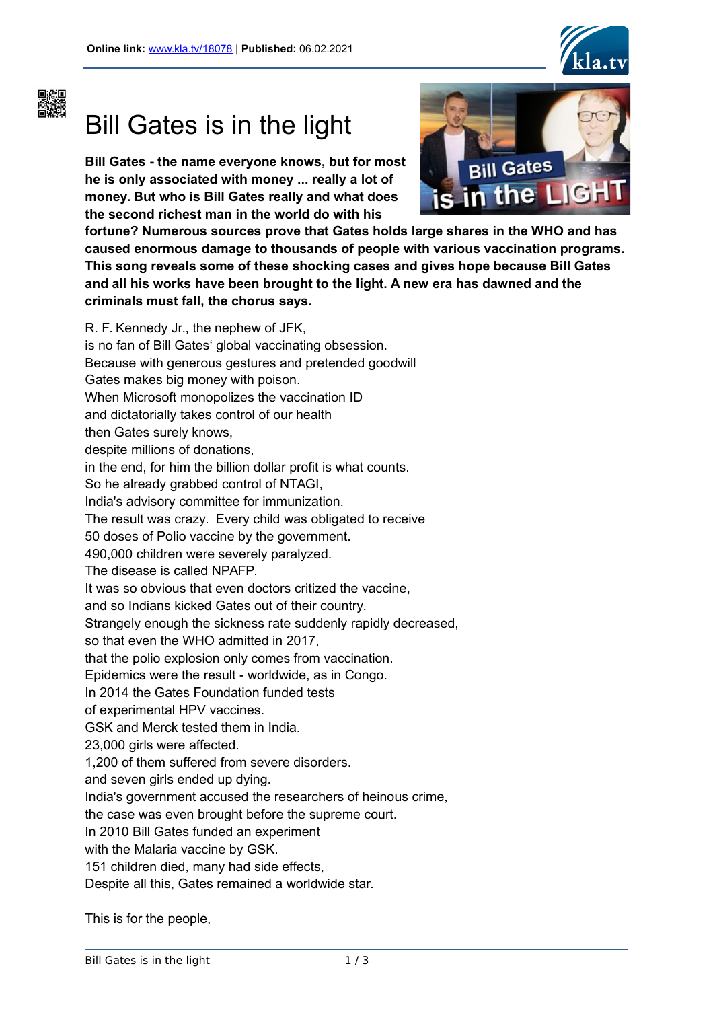



## Bill Gates is in the light

**Bill Gates - the name everyone knows, but for most he is only associated with money ... really a lot of money. But who is Bill Gates really and what does the second richest man in the world do with his**



**fortune? Numerous sources prove that Gates holds large shares in the WHO and has caused enormous damage to thousands of people with various vaccination programs. This song reveals some of these shocking cases and gives hope because Bill Gates and all his works have been brought to the light. A new era has dawned and the criminals must fall, the chorus says.**

R. F. Kennedy Jr., the nephew of JFK, is no fan of Bill Gates' global vaccinating obsession. Because with generous gestures and pretended goodwill Gates makes big money with poison. When Microsoft monopolizes the vaccination ID and dictatorially takes control of our health then Gates surely knows, despite millions of donations, in the end, for him the billion dollar profit is what counts. So he already grabbed control of NTAGI, India's advisory committee for immunization. The result was crazy. Every child was obligated to receive 50 doses of Polio vaccine by the government. 490,000 children were severely paralyzed. The disease is called NPAFP. It was so obvious that even doctors critized the vaccine, and so Indians kicked Gates out of their country. Strangely enough the sickness rate suddenly rapidly decreased, so that even the WHO admitted in 2017, that the polio explosion only comes from vaccination. Epidemics were the result - worldwide, as in Congo. In 2014 the Gates Foundation funded tests of experimental HPV vaccines. GSK and Merck tested them in India. 23,000 girls were affected. 1,200 of them suffered from severe disorders. and seven girls ended up dying. India's government accused the researchers of heinous crime, the case was even brought before the supreme court. In 2010 Bill Gates funded an experiment with the Malaria vaccine by GSK. 151 children died, many had side effects,

Despite all this, Gates remained a worldwide star.

This is for the people,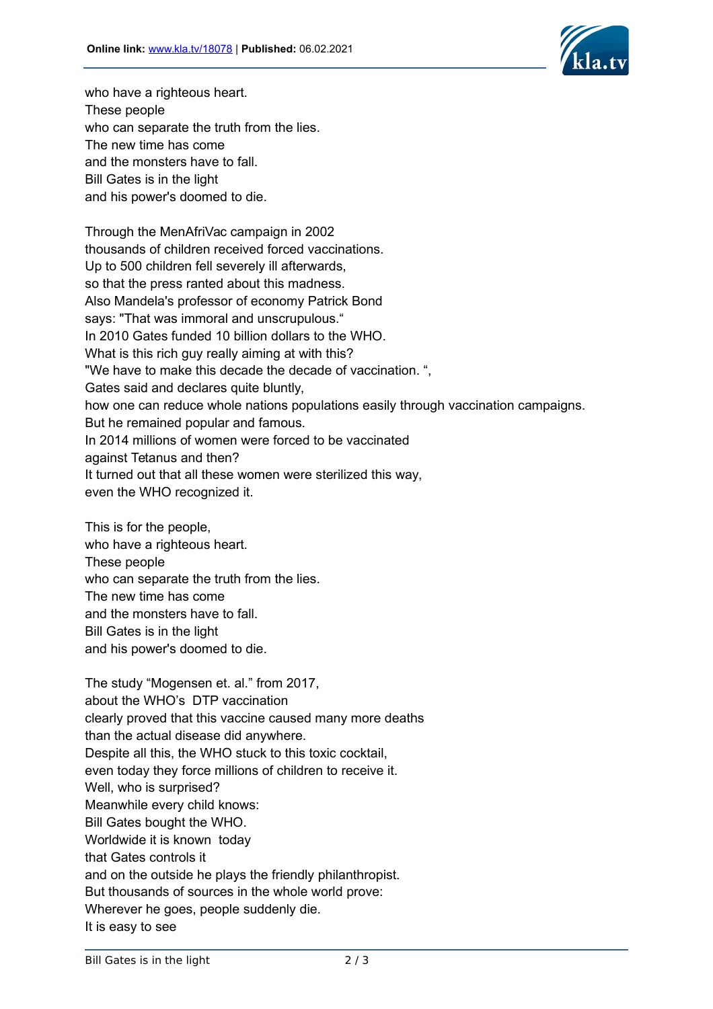

who have a righteous heart. These people who can separate the truth from the lies. The new time has come and the monsters have to fall. Bill Gates is in the light and his power's doomed to die.

Through the MenAfriVac campaign in 2002 thousands of children received forced vaccinations. Up to 500 children fell severely ill afterwards, so that the press ranted about this madness. Also Mandela's professor of economy Patrick Bond says: "That was immoral and unscrupulous." In 2010 Gates funded 10 billion dollars to the WHO. What is this rich guy really aiming at with this? "We have to make this decade the decade of vaccination. ", Gates said and declares quite bluntly, how one can reduce whole nations populations easily through vaccination campaigns. But he remained popular and famous. In 2014 millions of women were forced to be vaccinated against Tetanus and then? It turned out that all these women were sterilized this way, even the WHO recognized it.

This is for the people, who have a righteous heart. These people who can separate the truth from the lies. The new time has come and the monsters have to fall. Bill Gates is in the light and his power's doomed to die.

The study "Mogensen et. al." from 2017, about the WHO's DTP vaccination clearly proved that this vaccine caused many more deaths than the actual disease did anywhere. Despite all this, the WHO stuck to this toxic cocktail, even today they force millions of children to receive it. Well, who is surprised? Meanwhile every child knows: Bill Gates bought the WHO. Worldwide it is known today that Gates controls it and on the outside he plays the friendly philanthropist. But thousands of sources in the whole world prove: Wherever he goes, people suddenly die. It is easy to see